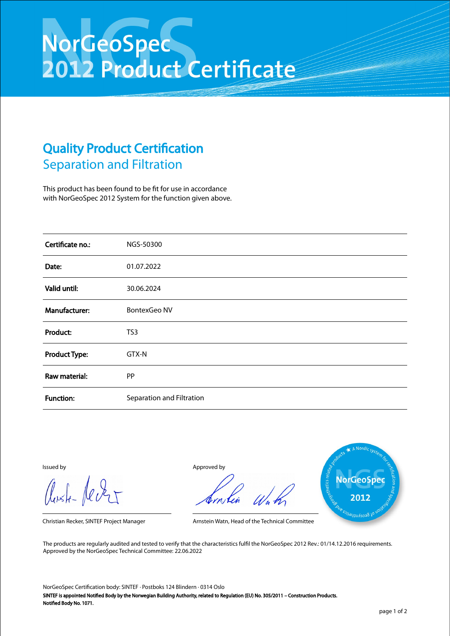## NorGeoSpec<br>2012 Product Certificate

## Quality Product Certification Separation and Filtration

This product has been found to be fit for use in accordance with NorGeoSpec 2012 System for the function given above.

| Certificate no.:     | NGS-50300                 |
|----------------------|---------------------------|
| Date:                | 01.07.2022                |
| Valid until:         | 30.06.2024                |
| Manufacturer:        | <b>BontexGeo NV</b>       |
| Product:             | TS3                       |
| <b>Product Type:</b> | GTX-N                     |
| Raw material:        | PP                        |
| <b>Function:</b>     | Separation and Filtration |

Aust-Jever

Issued by Approved by



Christian Recker, SINTEF Project Manager Arnstein Watn, Head of the Technical Committee

The products are regularly audited and tested to verify that the characteristics fulfil the NorGeoSpec 2012 Rev.: 01/14.12.2016 requirements. Approved by the NorGeoSpec Technical Committee: 22.06.2022